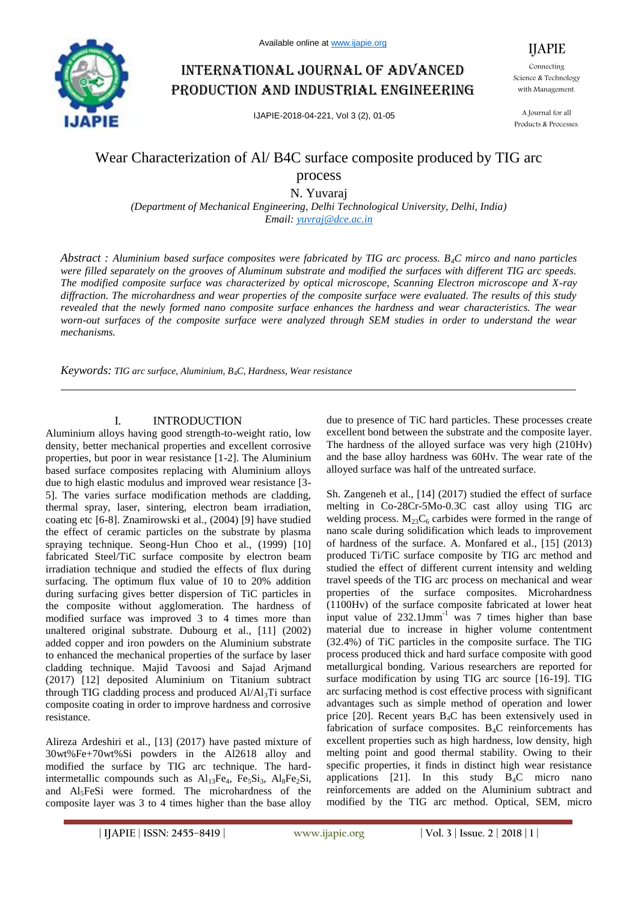

# International journal of advanced production and industrial engineering

IJAPIE-2018-04-221, Vol 3 (2), 01-05

Connecting Science & Technology with Management.

IJAPIE

A Journal for all Products & Processes.

## Wear Characterization of Al/ B4C surface composite produced by TIG arc process

N. Yuvaraj

*(Department of Mechanical Engineering, Delhi Technological University, Delhi, India) Email: yuvraj@dce.ac.in*

*Abstract : Aluminium based surface composites were fabricated by TIG arc process. B4C mirco and nano particles were filled separately on the grooves of Aluminum substrate and modified the surfaces with different TIG arc speeds. The modified composite surface was characterized by optical microscope, Scanning Electron microscope and X-ray diffraction. The microhardness and wear properties of the composite surface were evaluated. The results of this study revealed that the newly formed nano composite surface enhances the hardness and wear characteristics. The wear worn-out surfaces of the composite surface were analyzed through SEM studies in order to understand the wear mechanisms.*

*Keywords: TIG arc surface, Aluminium, B4C, Hardness, Wear resistance*

### I. INTRODUCTION

Aluminium alloys having good strength-to-weight ratio, low density, better mechanical properties and excellent corrosive properties, but poor in wear resistance [1-2]. The Aluminium based surface composites replacing with Aluminium alloys due to high elastic modulus and improved wear resistance [3- 5]. The varies surface modification methods are cladding, thermal spray, laser, sintering, electron beam irradiation, coating etc [6-8]. Znamirowski et al., (2004) [9] have studied the effect of ceramic particles on the substrate by plasma spraying technique. Seong-Hun Choo et al., (1999) [10] fabricated Steel/TiC surface composite by electron beam irradiation technique and studied the effects of flux during surfacing. The optimum flux value of 10 to 20% addition during surfacing gives better dispersion of TiC particles in the composite without agglomeration. The hardness of modified surface was improved 3 to 4 times more than unaltered original substrate. Dubourg et al., [11] (2002) added copper and iron powders on the Aluminium substrate to enhanced the mechanical properties of the surface by laser cladding technique. Majid Tavoosi and Sajad Arjmand (2017) [12] deposited Aluminium on Titanium subtract through TIG cladding process and produced  $Al/Al<sub>3</sub>Ti$  surface composite coating in order to improve hardness and corrosive resistance.

Alireza Ardeshiri et al., [13] (2017) have pasted mixture of 30wt%Fe+70wt%Si powders in the Al2618 alloy and modified the surface by TIG arc technique. The hardintermetallic compounds such as  $Al<sub>13</sub>Fe<sub>4</sub>$ , Fe<sub>5</sub>Si<sub>3</sub>, Al<sub>8</sub>Fe<sub>2</sub>Si, and Al5FeSi were formed. The microhardness of the composite layer was 3 to 4 times higher than the base alloy

due to presence of TiC hard particles. These processes create excellent bond between the substrate and the composite layer. The hardness of the alloyed surface was very high (210Hv) and the base alloy hardness was 60Hv. The wear rate of the alloyed surface was half of the untreated surface.

Sh. Zangeneh et al., [14] (2017) studied the effect of surface melting in Co-28Cr-5Mo-0.3C cast alloy using TIG arc welding process.  $M_{23}C_6$  carbides were formed in the range of nano scale during solidification which leads to improvement of hardness of the surface. A. Monfared et al., [15] (2013) produced Ti/TiC surface composite by TIG arc method and studied the effect of different current intensity and welding travel speeds of the TIG arc process on mechanical and wear properties of the surface composites. Microhardness (1100Hv) of the surface composite fabricated at lower heat input value of  $232.1$ Jmm<sup>-1</sup> was 7 times higher than base material due to increase in higher volume contentment (32.4%) of TiC particles in the composite surface. The TIG process produced thick and hard surface composite with good metallurgical bonding. Various researchers are reported for surface modification by using TIG arc source [16-19]. TIG arc surfacing method is cost effective process with significant advantages such as simple method of operation and lower price  $[20]$ . Recent years  $B_4C$  has been extensively used in fabrication of surface composites.  $B_4C$  reinforcements has excellent properties such as high hardness, low density, high melting point and good thermal stability. Owing to their specific properties, it finds in distinct high wear resistance applications [21]. In this study  $B_4C$  micro nano reinforcements are added on the Aluminium subtract and modified by the TIG arc method. Optical, SEM, micro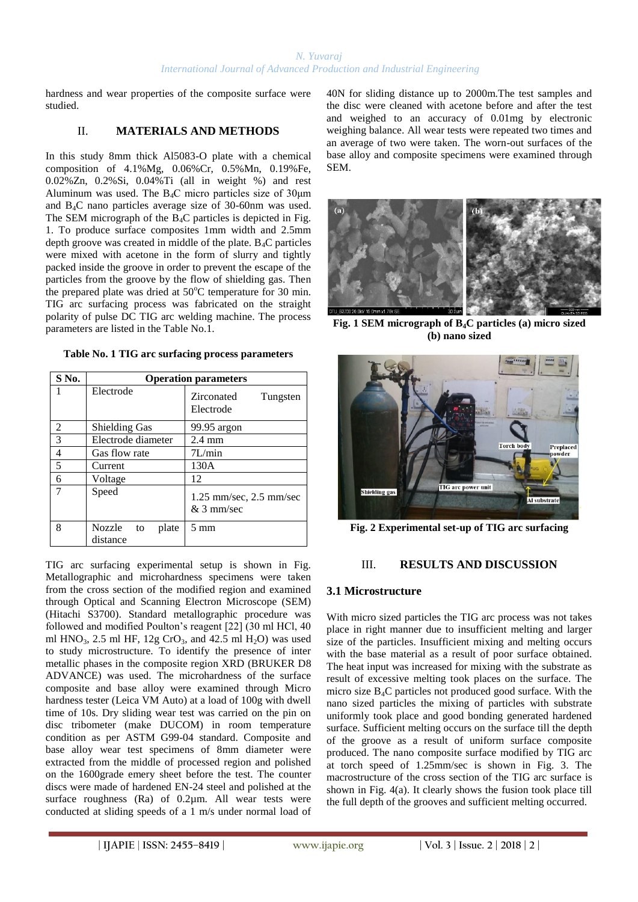hardness and wear properties of the composite surface were studied.

## II. **MATERIALS AND METHODS**

In this study 8mm thick Al5083-O plate with a chemical composition of 4.1%Mg, 0.06%Cr, 0.5%Mn, 0.19%Fe, 0.02%Zn, 0.2%Si, 0.04%Ti (all in weight %) and rest Aluminum was used. The  $B_4C$  micro particles size of 30 $\mu$ m and B4C nano particles average size of 30-60nm was used. The SEM micrograph of the  $B_4C$  particles is depicted in Fig. 1. To produce surface composites 1mm width and 2.5mm depth groove was created in middle of the plate.  $B_4C$  particles were mixed with acetone in the form of slurry and tightly packed inside the groove in order to prevent the escape of the particles from the groove by the flow of shielding gas. Then the prepared plate was dried at  $50^{\circ}$ C temperature for 30 min. TIG arc surfacing process was fabricated on the straight polarity of pulse DC TIG arc welding machine. The process parameters are listed in the Table No.1.

**Table No. 1 TIG arc surfacing process parameters**

| $S$ No.        | <b>Operation parameters</b>       |                                         |
|----------------|-----------------------------------|-----------------------------------------|
|                | Electrode                         | Zirconated<br>Tungsten<br>Electrode     |
| $\mathfrak{D}$ | <b>Shielding Gas</b>              | 99.95 argon                             |
| 3              | Electrode diameter                | $2.4 \text{ mm}$                        |
| 4              | Gas flow rate                     | 7L/min                                  |
| 5              | Current                           | 130A                                    |
| 6              | Voltage                           | 12                                      |
|                | Speed                             | 1.25 mm/sec, 2.5 mm/sec<br>$&$ 3 mm/sec |
| 8              | Nozzle<br>plate<br>to<br>distance | $5 \text{ mm}$                          |

TIG arc surfacing experimental setup is shown in Fig. Metallographic and microhardness specimens were taken from the cross section of the modified region and examined through Optical and Scanning Electron Microscope (SEM) (Hitachi S3700). Standard metallographic procedure was followed and modified Poulton's reagent [22] (30 ml HCl, 40 ml HNO<sub>3</sub>, 2.5 ml HF, 12g CrO<sub>3</sub>, and 42.5 ml H<sub>2</sub>O) was used to study microstructure. To identify the presence of inter metallic phases in the composite region XRD (BRUKER D8 ADVANCE) was used. The microhardness of the surface composite and base alloy were examined through Micro hardness tester (Leica VM Auto) at a load of 100g with dwell time of 10s. Dry sliding wear test was carried on the pin on disc tribometer (make DUCOM) in room temperature condition as per ASTM G99-04 standard. Composite and base alloy wear test specimens of 8mm diameter were extracted from the middle of processed region and polished on the 1600grade emery sheet before the test. The counter discs were made of hardened EN-24 steel and polished at the surface roughness (Ra) of 0.2 $\mu$ m. All wear tests were conducted at sliding speeds of a 1 m/s under normal load of 40N for sliding distance up to 2000m.The test samples and the disc were cleaned with acetone before and after the test and weighed to an accuracy of 0.01mg by electronic weighing balance. All wear tests were repeated two times and an average of two were taken. The worn-out surfaces of the base alloy and composite specimens were examined through SEM.



**Fig. 1 SEM micrograph of B4C particles (a) micro sized (b) nano sized**



**Fig. 2 Experimental set-up of TIG arc surfacing**

## III. **RESULTS AND DISCUSSION**

## **3.1 Microstructure**

With micro sized particles the TIG arc process was not takes place in right manner due to insufficient melting and larger size of the particles. Insufficient mixing and melting occurs with the base material as a result of poor surface obtained. The heat input was increased for mixing with the substrate as result of excessive melting took places on the surface. The micro size  $B_4C$  particles not produced good surface. With the nano sized particles the mixing of particles with substrate uniformly took place and good bonding generated hardened surface. Sufficient melting occurs on the surface till the depth of the groove as a result of uniform surface composite produced. The nano composite surface modified by TIG arc at torch speed of 1.25mm/sec is shown in Fig. 3. The macrostructure of the cross section of the TIG arc surface is shown in Fig. 4(a). It clearly shows the fusion took place till the full depth of the grooves and sufficient melting occurred.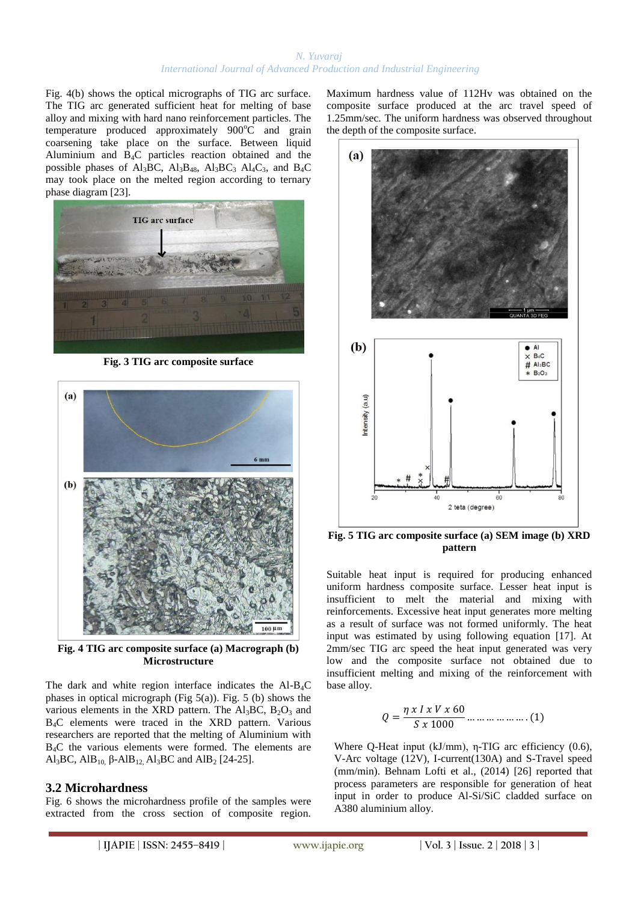Fig. 4(b) shows the optical micrographs of TIG arc surface. The TIG arc generated sufficient heat for melting of base alloy and mixing with hard nano reinforcement particles. The temperature produced approximately  $900^{\circ}$ C and grain coarsening take place on the surface. Between liquid Aluminium and  $\overline{B_4C}$  particles reaction obtained and the possible phases of Al<sub>3</sub>BC, Al<sub>3</sub>B<sub>48</sub>, Al<sub>3</sub>BC<sub>3</sub> Al<sub>4</sub>C<sub>3</sub>, and B<sub>4</sub>C may took place on the melted region according to ternary phase diagram [23].



**Fig. 3 TIG arc composite surface**



**Fig. 4 TIG arc composite surface (a) Macrograph (b) Microstructure**

The dark and white region interface indicates the  $AI-B_4C$ phases in optical micrograph (Fig  $5(a)$ ). Fig. 5 (b) shows the various elements in the XRD pattern. The  $Al_3BC$ ,  $B_2O_3$  and B4C elements were traced in the XRD pattern. Various researchers are reported that the melting of Aluminium with B4C the various elements were formed. The elements are Al<sub>3</sub>BC, AlB<sub>10</sub>, β-AlB<sub>12</sub>, Al<sub>3</sub>BC and AlB<sub>2</sub> [24-25].

## **3.2 Microhardness**

Fig. 6 shows the microhardness profile of the samples were extracted from the cross section of composite region. Maximum hardness value of 112Hv was obtained on the composite surface produced at the arc travel speed of 1.25mm/sec. The uniform hardness was observed throughout the depth of the composite surface.



**Fig. 5 TIG arc composite surface (a) SEM image (b) XRD pattern**

Suitable heat input is required for producing enhanced uniform hardness composite surface. Lesser heat input is insufficient to melt the material and mixing with reinforcements. Excessive heat input generates more melting as a result of surface was not formed uniformly. The heat input was estimated by using following equation [17]. At 2mm/sec TIG arc speed the heat input generated was very low and the composite surface not obtained due to insufficient melting and mixing of the reinforcement with base alloy.

$$
Q = \frac{\eta \times I \times V \times 60}{S \times 1000} \dots \dots \dots \dots \dots \dots (1)
$$

Where Q-Heat input (kJ/mm), η-TIG arc efficiency (0.6), V-Arc voltage (12V), I-current(130A) and S-Travel speed (mm/min). Behnam Lofti et al., (2014) [26] reported that process parameters are responsible for generation of heat input in order to produce Al-Si/SiC cladded surface on A380 aluminium alloy.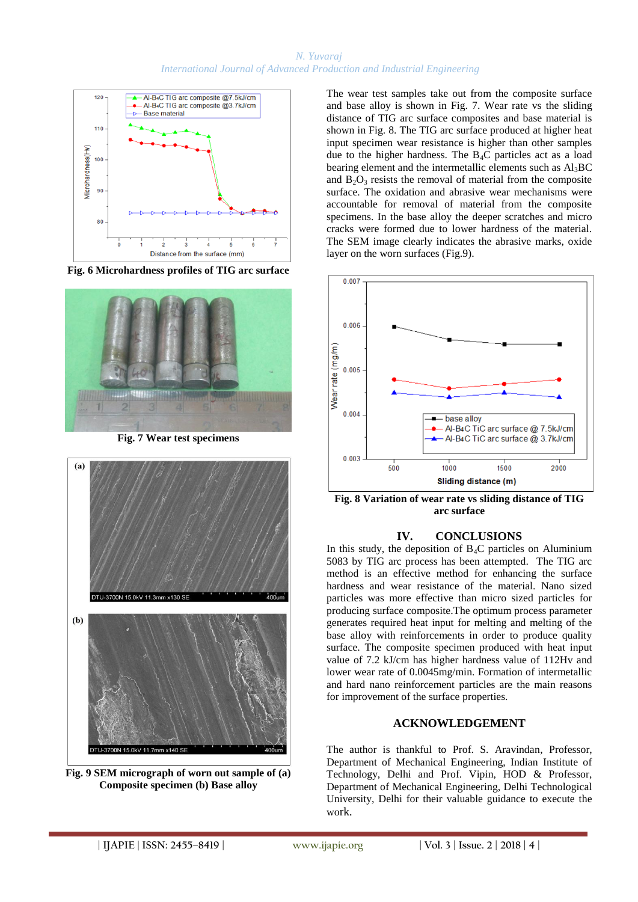

**Fig. 6 Microhardness profiles of TIG arc surface**



**Fig. 7 Wear test specimens**



**Fig. 9 SEM micrograph of worn out sample of (a) Composite specimen (b) Base alloy**

The wear test samples take out from the composite surface and base alloy is shown in Fig. 7. Wear rate vs the sliding distance of TIG arc surface composites and base material is shown in Fig. 8. The TIG arc surface produced at higher heat input specimen wear resistance is higher than other samples due to the higher hardness. The B4C particles act as a load bearing element and the intermetallic elements such as  $Al<sub>3</sub>BC$ and  $B_2O_3$  resists the removal of material from the composite surface. The oxidation and abrasive wear mechanisms were accountable for removal of material from the composite specimens. In the base alloy the deeper scratches and micro cracks were formed due to lower hardness of the material. The SEM image clearly indicates the abrasive marks, oxide layer on the worn surfaces (Fig.9).



**Fig. 8 Variation of wear rate vs sliding distance of TIG arc surface**

## **IV. CONCLUSIONS**

In this study, the deposition of  $B_4C$  particles on Aluminium 5083 by TIG arc process has been attempted. The TIG arc method is an effective method for enhancing the surface hardness and wear resistance of the material. Nano sized particles was more effective than micro sized particles for producing surface composite.The optimum process parameter generates required heat input for melting and melting of the base alloy with reinforcements in order to produce quality surface. The composite specimen produced with heat input value of 7.2 kJ/cm has higher hardness value of 112Hv and lower wear rate of 0.0045mg/min. Formation of intermetallic and hard nano reinforcement particles are the main reasons for improvement of the surface properties.

## **ACKNOWLEDGEMENT**

The author is thankful to Prof. S. Aravindan, Professor, Department of Mechanical Engineering, Indian Institute of Technology, Delhi and Prof. Vipin, HOD & Professor, Department of Mechanical Engineering, Delhi Technological University, Delhi for their valuable guidance to execute the work.